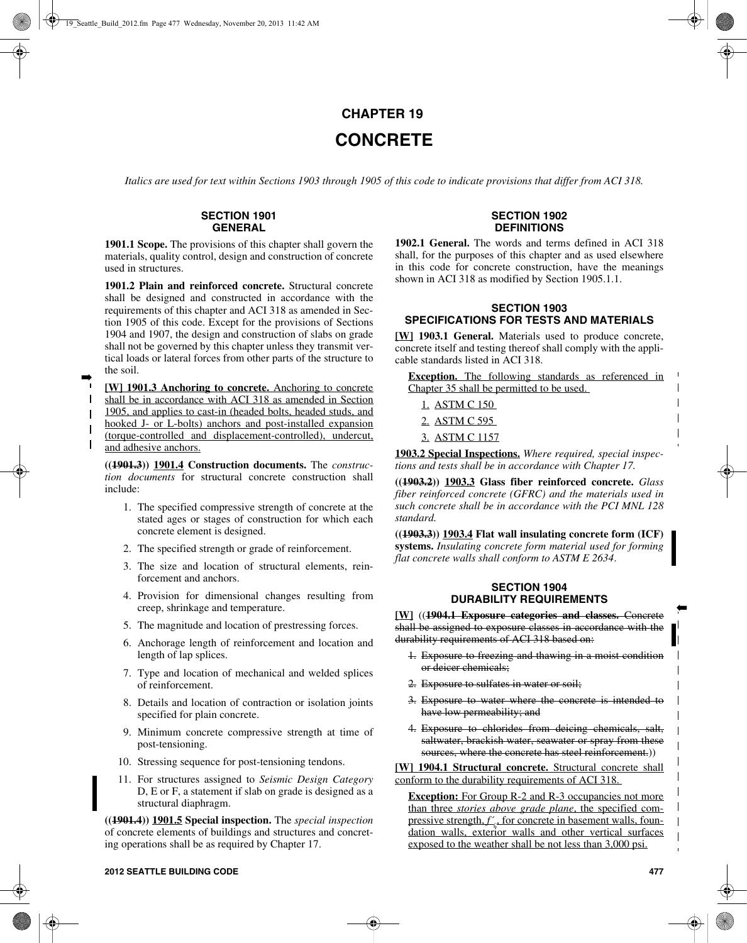# **CHAPTER 19 CONCRETE**

*Italics are used for text within Sections 1903 through 1905 of this code to indicate provisions that differ from ACI 318.*

## **SECTION 1901 GENERAL**

**1901.1 Scope.** The provisions of this chapter shall govern the materials, quality control, design and construction of concrete used in structures.

**1901.2 Plain and reinforced concrete.** Structural concrete shall be designed and constructed in accordance with the requirements of this chapter and ACI 318 as amended in Section 1905 of this code. Except for the provisions of Sections 1904 and 1907, the design and construction of slabs on grade shall not be governed by this chapter unless they transmit vertical loads or lateral forces from other parts of the structure to the soil.

**[W] 1901.3 Anchoring to concrete.** Anchoring to concrete shall be in accordance with ACI 318 as amended in Section 1905, and applies to cast-in (headed bolts, headed studs, and hooked J- or L-bolts) anchors and post-installed expansion (torque-controlled and displacement-controlled), undercut, and adhesive anchors.

➡

 $\mathbf{I}$ 

 $\mathbf{I}$  $\mathbf{I}$ 

> **((1901.3)) 1901.4 Construction documents.** The *construction documents* for structural concrete construction shall include:

- 1. The specified compressive strength of concrete at the stated ages or stages of construction for which each concrete element is designed.
- 2. The specified strength or grade of reinforcement.
- 3. The size and location of structural elements, reinforcement and anchors.
- 4. Provision for dimensional changes resulting from creep, shrinkage and temperature.
- 5. The magnitude and location of prestressing forces.
- 6. Anchorage length of reinforcement and location and length of lap splices.
- 7. Type and location of mechanical and welded splices of reinforcement.
- 8. Details and location of contraction or isolation joints specified for plain concrete.
- 9. Minimum concrete compressive strength at time of post-tensioning.
- 10. Stressing sequence for post-tensioning tendons.
- 11. For structures assigned to *Seismic Design Category* D, E or F, a statement if slab on grade is designed as a structural diaphragm.

**((1901.4)) 1901.5 Special inspection.** The *special inspection* of concrete elements of buildings and structures and concreting operations shall be as required by Chapter 17.

#### **SECTION 1902 DEFINITIONS**

**1902.1 General.** The words and terms defined in ACI 318 shall, for the purposes of this chapter and as used elsewhere in this code for concrete construction, have the meanings shown in ACI 318 as modified by Section 1905.1.1.

## **SECTION 1903 SPECIFICATIONS FOR TESTS AND MATERIALS**

**[W] 1903.1 General.** Materials used to produce concrete, concrete itself and testing thereof shall comply with the applicable standards listed in ACI 318.

**Exception.** The following standards as referenced in Chapter 35 shall be permitted to be used.

- 1. ASTM C 150
- 2. ASTM C 595
- 3. ASTM C 1157

**1903.2 Special Inspections.** *Where required, special inspections and tests shall be in accordance with Chapter 17.*

**((1903.2)) 1903.3 Glass fiber reinforced concrete.** *Glass fiber reinforced concrete (GFRC) and the materials used in such concrete shall be in accordance with the PCI MNL 128 standard.*

**((1903.3)) 1903.4 Flat wall insulating concrete form (ICF) systems.** *Insulating concrete form material used for forming flat concrete walls shall conform to ASTM E 2634*.

## **SECTION 1904 DURABILITY REQUIREMENTS**

**[W]** ((**1904.1 Exposure categories and classes.** Concrete shall be assigned to exposure classes in accordance with the durability requirements of ACI 318 based on:

- 1. Exposure to freezing and thawing in a moist condition or deicer chemicals;
- 2. Exposure to sulfates in water or soil;
- 3. Exposure to water where the concrete is intended to have low permeability; and
- 4. Exposure to chlorides from deicing chemicals, salt, saltwater, brackish water, seawater or spray from these sources, where the concrete has steel reinforcement.))

**[W] 1904.1 Structural concrete.** Structural concrete shall conform to the durability requirements of ACI 318.

**Exception:** For Group R-2 and R-3 occupancies not more than three *stories above grade plane*, the specified compressive strength,  $f'$ , for concrete in basement walls, foundation walls, exterior walls and other vertical surfaces exposed to the weather shall be not less than 3,000 psi.

➡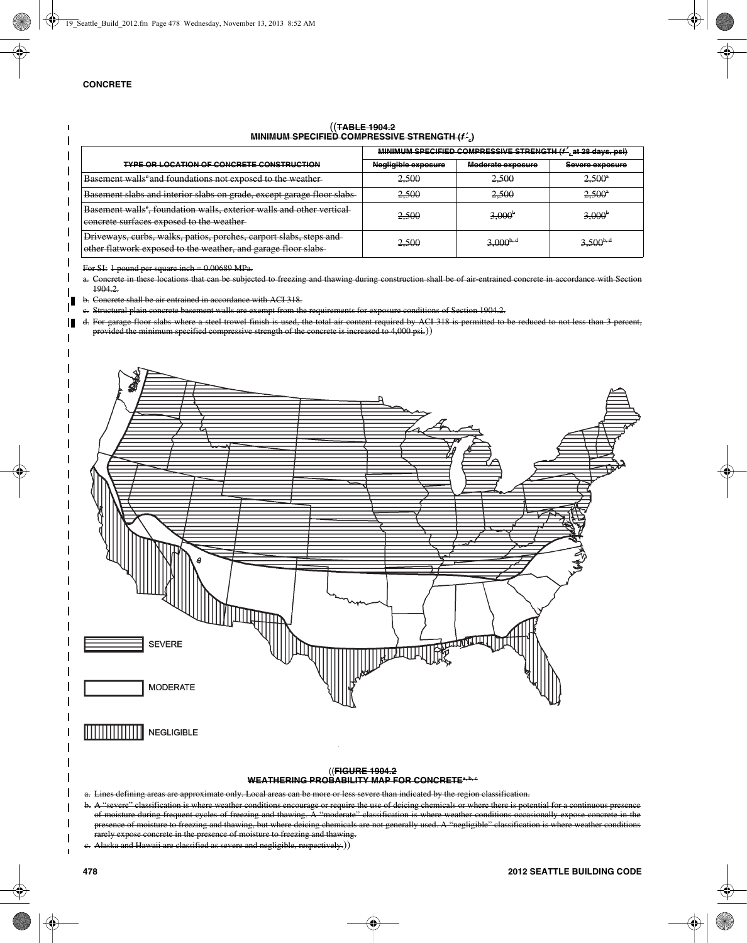#### ((**TABLE 1904.2 MINIMUM SPECIFIED COMPRESSIVE STRENGTH (***f* ′**c)**

|                                                                                                                                      | MINIMUM SPECIFIED COMPRESSIVE STRENGTH (f' at 28 days, psi) |                   |                 |  |  |  |
|--------------------------------------------------------------------------------------------------------------------------------------|-------------------------------------------------------------|-------------------|-----------------|--|--|--|
| <b>TYPE OR LOCATION OF CONCRETE CONSTRUCTION</b>                                                                                     | Negligible exposure                                         | Moderate exposure | Severe exposure |  |  |  |
| Basement walls and foundations not exposed to the weather                                                                            | 2.500                                                       | 2,500             | $2,500^{\circ}$ |  |  |  |
| Basement slabs and interior slabs on grade, except garage floor slabs                                                                | 2.500                                                       | 2.500             | $2.500^4$       |  |  |  |
| <b>Basement walls<sup>e</sup></b> , foundation walls, exterior walls and other vertical<br>eoncrete surfaces exposed to the weather- | 2,500                                                       | $3,000^{\circ}$   | $3,000^{\circ}$ |  |  |  |
| Driveways, curbs, walks, patios, porches, carport slabs, steps and<br>other flatwork exposed to the weather, and garage floor slabs- | 2,500                                                       | $3,000^{b,a}$     | $3,500^{b,d}$   |  |  |  |

For SI: 1 pound per square inch = 0.00689 MPa.

a. Concrete in these locations that can be subjected to freezing and thawing during construction shall be of air-entrained concrete in accordance with Section 1904.2.

b. Concrete shall be air entrained in accordance with ACI 318.

c. Structural plain concrete basement walls are exempt from the requirements for exposure conditions of Section 1904.2.

d. For garage floor slabs where a steel trowel finish is used, the total air content required by ACI 318 is permitted to be reduced to not less than 3 percent ided the minimum specified compressive strength of the concrete is increased to 4,000 psi.))



#### ((**FIGURE 1904.2** WEATHERING PROBABILITY MAP FOR CONCRETE<sup>a, b, c</sup>

a. Lines defining areas are approximate only. Local areas can be more or less severe than indicated by the region classification.

b. A "severe" classification is where weather conditions encourage or require the use of deicing chemicals or where there is potential for a continuous pres of moisture during frequent cycles of freezing and thawing.  $\bar{A}$  "moderate" classification is where weather conditions occasionally expose concrete in the ce of moisture to freezing and thawing, but where deicing chemicals are not generally used. A "negligible" cla rarely expose concrete in the presence of moisture to freezing and thawing.

c. Alaska and Hawaii are classified as severe and negligible, respectively.))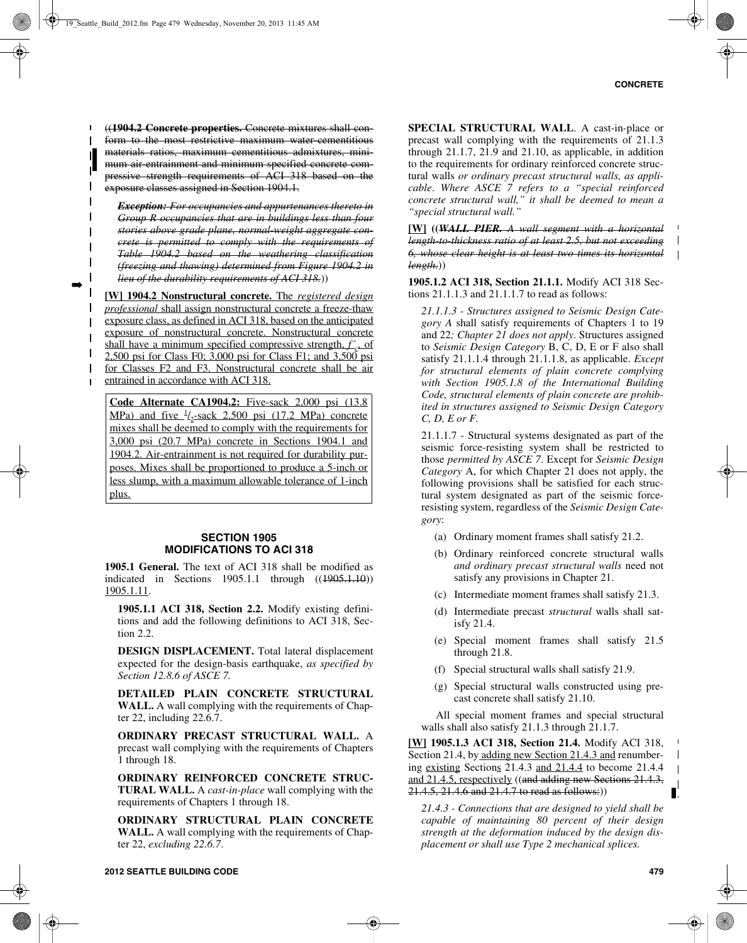$\mathbf I$ 

((**1904.2 Concrete properties.** Concrete mixtures shall conform to the most restrictive maximum water-cementitious materials ratios, maximum cementitious admixtures, minimum air entrainment and minimum specified concrete compressive strength requirements of ACI 318 based on the exposure classes assigned in Section 1904.1.

*Exception: For occupancies and appurtenances thereto in Group R occupancies that are in buildings less than four stories above grade plane, normal-weight aggregate concrete is permitted to comply with the requirements of Table 1904.2 based on the weathering classification (freezing and thawing) determined from Figure 1904.2 in lieu of the durability requirements of ACI 318.*))

**[W] 1904.2 Nonstructural concrete.** The *registered design professional* shall assign nonstructural concrete a freeze-thaw exposure class, as defined in ACI 318, based on the anticipated exposure of nonstructural concrete. Nonstructural concrete shall have a minimum specified compressive strength, *f'*, of 2,500 psi for Class F0; 3,000 psi for Class F1; and 3,500 psi for Classes F2 and F3. Nonstructural concrete shall be air entrained in accordance with ACI 318.

➡

 $\mathbf I$  $\mathbf{I}$  $\overline{1}$  $\mathbf{I}$  $\mathsf{I}$  $\mathbf{L}$ 

 $\blacksquare$  $\mathbf{I}$ 

 $\mathbf{I}$  $\mathbf{I}$ 

> **Code Alternate CA1904.2:** Five-sack 2,000 psi (13.8  $MPa)$  and five  $\frac{1}{2}$ -sack 2,500 psi (17.2 MPa) concrete mixes shall be deemed to comply with the requirements for 3,000 psi (20.7 MPa) concrete in Sections 1904.1 and 1904.2. Air-entrainment is not required for durability purposes. Mixes shall be proportioned to produce a 5-inch or less slump, with a maximum allowable tolerance of 1-inch plus.

#### **SECTION 1905 MODIFICATIONS TO ACI 318**

**1905.1 General.** The text of ACI 318 shall be modified as indicated in Sections 1905.1.1 through ((1905.1.10)) 1905.1.11.

**1905.1.1 ACI 318, Section 2.2.** Modify existing definitions and add the following definitions to ACI 318, Section 2.2.

**DESIGN DISPLACEMENT.** Total lateral displacement expected for the design-basis earthquake, *as specified by Section 12.8.6 of ASCE 7.*

**DETAILED PLAIN CONCRETE STRUCTURAL WALL.** A wall complying with the requirements of Chapter 22, including 22.6.7.

**ORDINARY PRECAST STRUCTURAL WALL.** A precast wall complying with the requirements of Chapters 1 through 18.

**ORDINARY REINFORCED CONCRETE STRUC-TURAL WALL.** A *cast-in-place* wall complying with the requirements of Chapters 1 through 18.

**ORDINARY STRUCTURAL PLAIN CONCRETE WALL.** A wall complying with the requirements of Chapter 22, *excluding 22.6.7*.

**SPECIAL STRUCTURAL WALL**. A cast-in-place or precast wall complying with the requirements of 21.1.3 through 21.1.7, 21.9 and 21.10, as applicable, in addition to the requirements for ordinary reinforced concrete structural walls *or ordinary precast structural walls, as applicable*. *Where ASCE 7 refers to a "special reinforced concrete structural wall," it shall be deemed to mean a "special structural wall."*

**[W] ((***WALL PIER. A wall segment with a horizontal length-to-thickness ratio of at least 2.5, but not exceeding 6, whose clear height is at least two times its horizontal length.*))

**1905.1.2 ACI 318, Section 21.1.1.** Modify ACI 318 Sections 21.1.1.3 and 21.1.1.7 to read as follows:

*21.1.1.3 - Structures assigned to Seismic Design Category A* shall satisfy requirements of Chapters 1 to 19 and 22*; Chapter 21 does not apply*. Structures assigned to *Seismic Design Category* B, C, D, E or F also shall satisfy 21.1.1.4 through 21.1.1.8, as applicable. *Except for structural elements of plain concrete complying with Section 1905.1.8 of the International Building Code, structural elements of plain concrete are prohibited in structures assigned to Seismic Design Category C, D, E or F.*

21.1.1.7 - Structural systems designated as part of the seismic force-resisting system shall be restricted to those *permitted by ASCE 7*. Except for *Seismic Design Category* A, for which Chapter 21 does not apply, the following provisions shall be satisfied for each structural system designated as part of the seismic forceresisting system, regardless of the *Seismic Design Category*:

- (a) Ordinary moment frames shall satisfy 21.2.
- (b) Ordinary reinforced concrete structural walls *and ordinary precast structural walls* need not satisfy any provisions in Chapter 21.
- (c) Intermediate moment frames shall satisfy 21.3.
- (d) Intermediate precast *structural* walls shall satisfy 21.4.
- (e) Special moment frames shall satisfy 21.5 through 21.8.
- (f) Special structural walls shall satisfy 21.9.
- (g) Special structural walls constructed using precast concrete shall satisfy 21.10.

All special moment frames and special structural walls shall also satisfy 21.1.3 through 21.1.7.

**[W] 1905.1.3 ACI 318, Section 21.4.** Modify ACI 318, Section 21.4, by adding new Section 21.4.3 and renumbering existing Sections 21.4.3 and 21.4.4 to become 21.4.4 and 21.4.5, respectively ((and adding new Sections 21.4.3, 21.4.5, 21.4.6 and 21.4.7 to read as follows:))

*21.4.3 - Connections that are designed to yield shall be capable of maintaining 80 percent of their design strength at the deformation induced by the design displacement or shall use Type 2 mechanical splices.*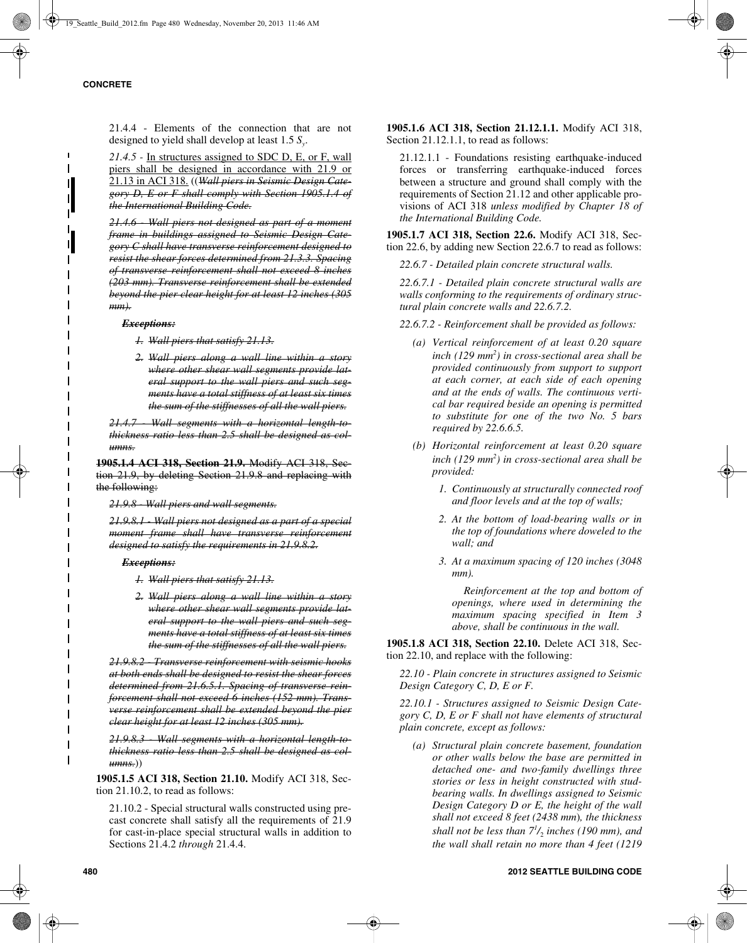21.4.4 - Elements of the connection that are not designed to yield shall develop at least 1.5 *Sy*.

*21.4.5 -* In structures assigned to SDC D, E, or F, wall piers shall be designed in accordance with 21.9 or 21.13 in ACI 318. ((*Wall piers in Seismic Design Category D, E or F shall comply with Section 1905.1.4 of the International Building Code.*

*21.4.6 - Wall piers not designed as part of a moment frame in buildings assigned to Seismic Design Category C shall have transverse reinforcement designed to resist the shear forces determined from 21.3.3. Spacing of transverse reinforcement shall not exceed 8 inches (203 mm). Transverse reinforcement shall be extended beyond the pier clear height for at least 12 inches (305 mm).*

#### *Exceptions:*

*1. Wall piers that satisfy 21.13.*

*2. Wall piers along a wall line within a story where other shear wall segments provide lateral support to the wall piers and such segments have a total stiffness of at least six times the sum of the stiffnesses of all the wall piers.*

21.4.7 Wall segments with a horizontal length-to*thickness ratio less than 2.5 shall be designed as columns.*

**1905.1.4 ACI 318, Section 21.9.** Modify ACI 318, Section 21.9, by deleting Section 21.9.8 and replacing with the following:

*21.9.8 - Wall piers and wall segments.*

*21.9.8.1 - Wall piers not designed as a part of a special moment frame shall have transverse reinforcement designed to satisfy the requirements in 21.9.8.2.*

#### *Exceptions:*

*1. Wall piers that satisfy 21.13.*

*2. Wall piers along a wall line within a story where other shear wall segments provide lateral support to the wall piers and such segments have a total stiffness of at least six times the sum of the stiffnesses of all the wall piers.*

*21.9.8.2 - Transverse reinforcement with seismic hooks at both ends shall be designed to resist the shear forces determined from 21.6.5.1. Spacing of transverse reinforcement shall not exceed 6 inches (152 mm). Transverse reinforcement shall be extended beyond the pier clear height for at least 12 inches (305 mm).*

*21.9.8.3 - Wall segments with a horizontal length-tothickness ratio less than 2.5 shall be designed as columns.*))

**1905.1.5 ACI 318, Section 21.10.** Modify ACI 318, Section 21.10.2, to read as follows:

21.10.2 - Special structural walls constructed using precast concrete shall satisfy all the requirements of 21.9 for cast-in-place special structural walls in addition to Sections 21.4.2 *through* 21.4.4.

**1905.1.6 ACI 318, Section 21.12.1.1.** Modify ACI 318, Section 21.12.1.1, to read as follows:

21.12.1.1 - Foundations resisting earthquake-induced forces or transferring earthquake-induced forces between a structure and ground shall comply with the requirements of Section 21.12 and other applicable provisions of ACI 318 *unless modified by Chapter 18 of the International Building Code.*

**1905.1.7 ACI 318, Section 22.6.** Modify ACI 318, Section 22.6, by adding new Section 22.6.7 to read as follows:

*22.6.7 - Detailed plain concrete structural walls.*

*22.6.7.1 - Detailed plain concrete structural walls are walls conforming to the requirements of ordinary structural plain concrete walls and 22.6.7.2.*

*22.6.7.2 - Reinforcement shall be provided as follows:*

- *(a) Vertical reinforcement of at least 0.20 square inch (129 mm2 ) in cross-sectional area shall be provided continuously from support to support at each corner, at each side of each opening and at the ends of walls. The continuous vertical bar required beside an opening is permitted to substitute for one of the two No. 5 bars required by 22.6.6.5.*
- *(b) Horizontal reinforcement at least 0.20 square inch (129 mm2 ) in cross-sectional area shall be provided:*
	- *1. Continuously at structurally connected roof and floor levels and at the top of walls;*
	- *2. At the bottom of load-bearing walls or in the top of foundations where doweled to the wall; and*
	- *3. At a maximum spacing of 120 inches (3048 mm).*

 *Reinforcement at the top and bottom of openings, where used in determining the maximum spacing specified in Item 3 above, shall be continuous in the wall.*

**1905.1.8 ACI 318, Section 22.10.** Delete ACI 318, Section 22.10, and replace with the following:

*22.10 - Plain concrete in structures assigned to Seismic Design Category C, D, E or F.*

*22.10.1 - Structures assigned to Seismic Design Category C, D, E or F shall not have elements of structural plain concrete, except as follows:*

*(a) Structural plain concrete basement, foundation or other walls below the base are permitted in detached one- and two-family dwellings three stories or less in height constructed with studbearing walls. In dwellings assigned to Seismic Design Category D or E, the height of the wall shall not exceed 8 feet (2438 mm*)*, the thickness shall not be less than 71 /*2 *inches (190 mm), and the wall shall retain no more than 4 feet (1219*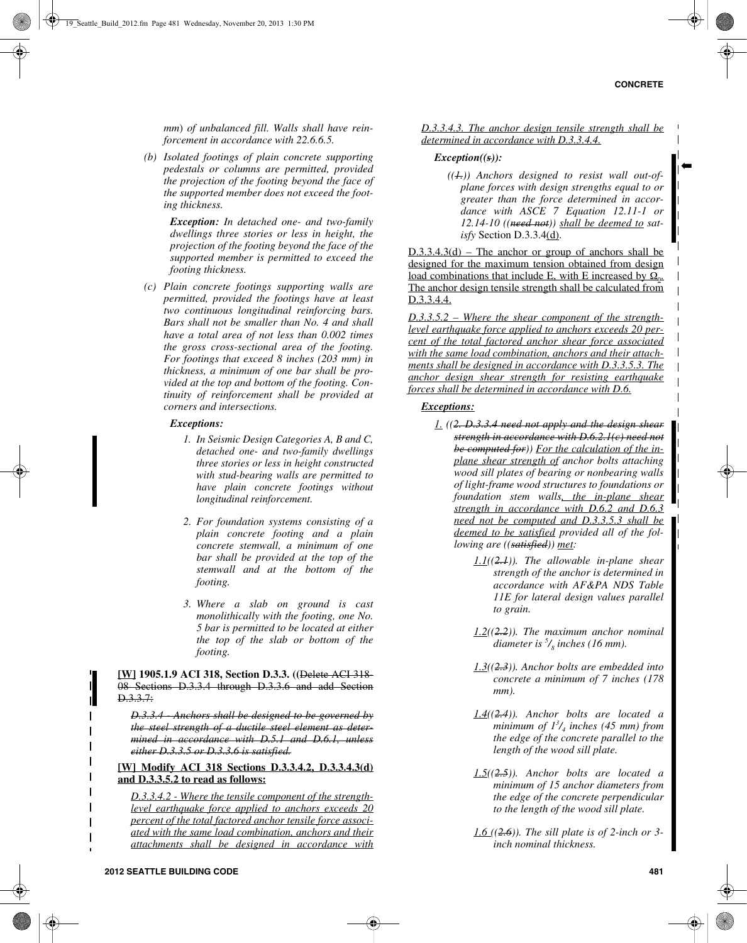➡

*mm*) *of unbalanced fill. Walls shall have reinforcement in accordance with 22.6.6.5.*

*(b) Isolated footings of plain concrete supporting pedestals or columns are permitted, provided the projection of the footing beyond the face of the supported member does not exceed the footing thickness.*

> *Exception: In detached one- and two-family dwellings three stories or less in height, the projection of the footing beyond the face of the supported member is permitted to exceed the footing thickness.*

*(c) Plain concrete footings supporting walls are permitted, provided the footings have at least two continuous longitudinal reinforcing bars. Bars shall not be smaller than No. 4 and shall have a total area of not less than 0.002 times the gross cross-sectional area of the footing. For footings that exceed 8 inches (203 mm) in thickness, a minimum of one bar shall be provided at the top and bottom of the footing. Continuity of reinforcement shall be provided at corners and intersections.*

#### *Exceptions:*

- *1. In Seismic Design Categories A, B and C, detached one- and two-family dwellings three stories or less in height constructed with stud-bearing walls are permitted to have plain concrete footings without longitudinal reinforcement.*
- *2. For foundation systems consisting of a plain concrete footing and a plain concrete stemwall, a minimum of one bar shall be provided at the top of the stemwall and at the bottom of the footing.*
- *3. Where a slab on ground is cast monolithically with the footing, one No. 5 bar is permitted to be located at either the top of the slab or bottom of the footing.*

**[W] 1905.1.9 ACI 318, Section D.3.3. ((**Delete ACI 318- 08 Sections D.3.3.4 through D.3.3.6 and add Section D.3.3.7:

*D.3.3.4 - Anchors shall be designed to be governed by the steel strength of a ductile steel element as determined in accordance with D.5.1 and D.6.1, unless either D.3.3.5 or D.3.3.6 is satisfied.*

**[W] Modify ACI 318 Sections D.3.3.4.2, D.3.3.4.3(d) and D.3.3.5.2 to read as follows:**

*D.3.3.4.2 - Where the tensile component of the strengthlevel earthquake force applied to anchors exceeds 20 percent of the total factored anchor tensile force associated with the same load combination, anchors and their attachments shall be designed in accordance with*

*D.3.3.4.3. The anchor design tensile strength shall be determined in accordance with D.3.3.4.4.*

#### *Exception((s)):*

*((1.)) Anchors designed to resist wall out-ofplane forces with design strengths equal to or greater than the force determined in accordance with ASCE 7 Equation 12.11-1 or 12.14-10 ((need not)) shall be deemed to satisfy* Section D.3.3.4(d).

 $D.3.3.4.3(d)$  – The anchor or group of anchors shall be designed for the maximum tension obtained from design load combinations that include E, with E increased by  $\Omega_0$ . The anchor design tensile strength shall be calculated from D.3.3.4.4.

*D.3.3.5.2 – Where the shear component of the strengthlevel earthquake force applied to anchors exceeds 20 percent of the total factored anchor shear force associated with the same load combination, anchors and their attachments shall be designed in accordance with D.3.3.5.3. The anchor design shear strength for resisting earthquake forces shall be determined in accordance with D.6.*

## *Exceptions:*

- *1. ((2. D.3.3.4 need not apply and the design shear strength in accordance with D.6.2.1(c) need not be computed for)) For the calculation of the inplane shear strength of anchor bolts attaching wood sill plates of bearing or nonbearing walls of light-frame wood structures to foundations or foundation stem walls, the in-plane shear strength in accordance with D.6.2 and D.6.3 need not be computed and D.3.3.5.3 shall be deemed to be satisfied provided all of the following are ((satisfied)) met:* 
	- *1.1((2.1)). The allowable in-plane shear strength of the anchor is determined in accordance with AF&PA NDS Table 11E for lateral design values parallel to grain.*
	- *1.2((2.2)). The maximum anchor nominal diameter is 5 /8 inches (16 mm).*
	- *1.3((2.3)). Anchor bolts are embedded into concrete a minimum of 7 inches (178 mm).*
	- *1.4((2.4)). Anchor bolts are located a minimum of 13 /4 inches (45 mm) from the edge of the concrete parallel to the length of the wood sill plate.*
	- *1.5((2.5)). Anchor bolts are located a minimum of 15 anchor diameters from the edge of the concrete perpendicular to the length of the wood sill plate.*
	- *1.6 ((2.6)). The sill plate is of 2-inch or 3 inch nominal thickness.*

 $\overline{\phantom{a}}$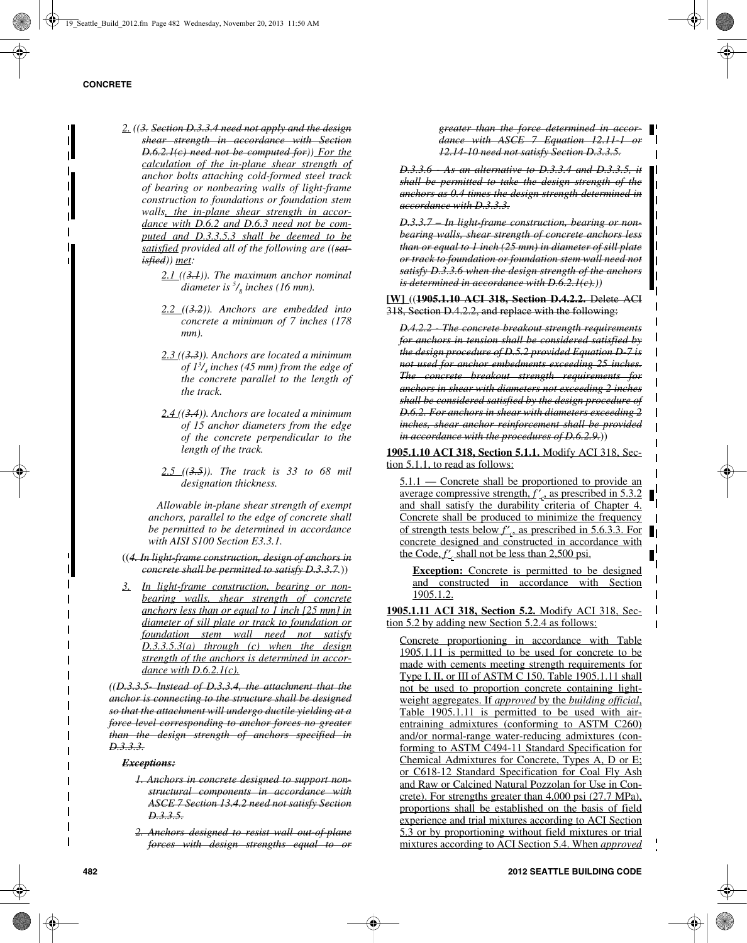- *2. ((3. Section D.3.3.4 need not apply and the design shear strength in accordance with Section D.6.2.1(c) need not be computed for)) For the calculation of the in-plane shear strength of anchor bolts attaching cold-formed steel track of bearing or nonbearing walls of light-frame construction to foundations or foundation stem walls, the in-plane shear strength in accordance with D.6.2 and D.6.3 need not be computed and D.3.3.5.3 shall be deemed to be satisfied provided all of the following are ((satisfied)) met:*
	- *2.1 ((3.1)). The maximum anchor nominal diameter is 5 /8 inches (16 mm).*
	- *2.2 ((3.2)). Anchors are embedded into concrete a minimum of 7 inches (178 mm).*
	- *2.3 ((3.3)). Anchors are located a minimum of 13 /4 inches (45 mm) from the edge of the concrete parallel to the length of the track.*
	- *2.4 ((3.4)). Anchors are located a minimum of 15 anchor diameters from the edge of the concrete perpendicular to the length of the track.*
	- *2.5 ((3.5)). The track is 33 to 68 mil designation thickness.*

 *Allowable in-plane shear strength of exempt anchors, parallel to the edge of concrete shall be permitted to be determined in accordance with AISI S100 Section E3.3.1.*

- ((*4. In light-frame construction, design of anchors in concrete shall be permitted to satisfy D.3.3.7.*))
- *3. In light-frame construction, bearing or nonbearing walls, shear strength of concrete anchors less than or equal to 1 inch [25 mm] in diameter of sill plate or track to foundation or foundation stem wall need not satisfy D.3.3.5.3(a) through (c) when the design strength of the anchors is determined in accordance with D.6.2.1(c).*

*((D.3.3.5- Instead of D.3.3.4, the attachment that the anchor is connecting to the structure shall be designed so that the attachment will undergo ductile yielding at a force level corresponding to anchor forces no greater than the design strength of anchors specified in D.3.3.3.*

*Exceptions:*

- *1. Anchors in concrete designed to support nonstructural components in accordance with ASCE 7 Section 13.4.2 need not satisfy Section D.3.3.5.*
- *2. Anchors designed to resist wall out-of-plane forces with design strengths equal to or*

*greater than the force determined in accordance with ASCE 7 Equation 12.11-1 12.14-10 need not satisfy Section D.3.3.5.*

*D.3.3.6 - As an alternative to D.3.3.4 and D.3.3.5, it shall be permitted to take the design strength of the anchors as 0.4 times the design strength determined in accordance with D.3.3.3.*

*D.3.3.7 – In light-frame construction, bearing or nonbearing walls, shear strength of concrete anchors less than or equal to 1 inch (25 mm) in diameter of sill plate or track to foundation or foundation stem wall need not satisfy D.3.3.6 when the design strength of the anchors is determined in accordance with D.6.2.1(c).))*

**[W]** ((**1905.1.10 ACI 318, Section D.4.2.2.** Delete ACI 318, Section D.4.2.2, and replace with the following:

*D.4.2.2 - The concrete breakout strength requirements for anchors in tension shall be considered satisfied by the design procedure of D.5.2 provided Equation D-7 is not used for anchor embedments exceeding 25 inches. The concrete breakout strength requirements for anchors in shear with diameters not exceeding 2 inches shall be considered satisfied by the design procedure of D.6.2. For anchors in shear with diameters exceeding 2 inches, shear anchor reinforcement shall be provided in accordance with the procedures of D.6.2.9.*))

 $\mathbf l$ 

 $\mathbf{I}$ 

 $\mathbf{I}$ Ш

**1905.1.10 ACI 318, Section 5.1.1.** Modify ACI 318, Section 5.1.1, to read as follows:

5.1.1 — Concrete shall be proportioned to provide an average compressive strength, *f* ′ *<sup>c</sup>*, as prescribed in 5.3.2 and shall satisfy the durability criteria of Chapter 4. Concrete shall be produced to minimize the frequency of strength tests below *f* ′ *<sup>c</sup>*, as prescribed in 5.6.3.3. For concrete designed and constructed in accordance with the Code, *f* ′ *<sup>c</sup>* shall not be less than 2,500 psi.

**Exception:** Concrete is permitted to be designed and constructed in accordance with Section 1905.1.2.

**1905.1.11 ACI 318, Section 5.2.** Modify ACI 318, Section 5.2 by adding new Section 5.2.4 as follows:

Concrete proportioning in accordance with Table 1905.1.11 is permitted to be used for concrete to be made with cements meeting strength requirements for Type I, II, or III of ASTM C 150. Table 1905.1.11 shall not be used to proportion concrete containing lightweight aggregates. If *approved* by the *building official*, Table 1905.1.11 is permitted to be used with airentraining admixtures (conforming to ASTM C260) and/or normal-range water-reducing admixtures (conforming to ASTM C494-11 Standard Specification for Chemical Admixtures for Concrete, Types A, D or E; or C618-12 Standard Specification for Coal Fly Ash and Raw or Calcined Natural Pozzolan for Use in Concrete). For strengths greater than 4,000 psi (27.7 MPa), proportions shall be established on the basis of field experience and trial mixtures according to ACI Section 5.3 or by proportioning without field mixtures or trial mixtures according to ACI Section 5.4. When *approved*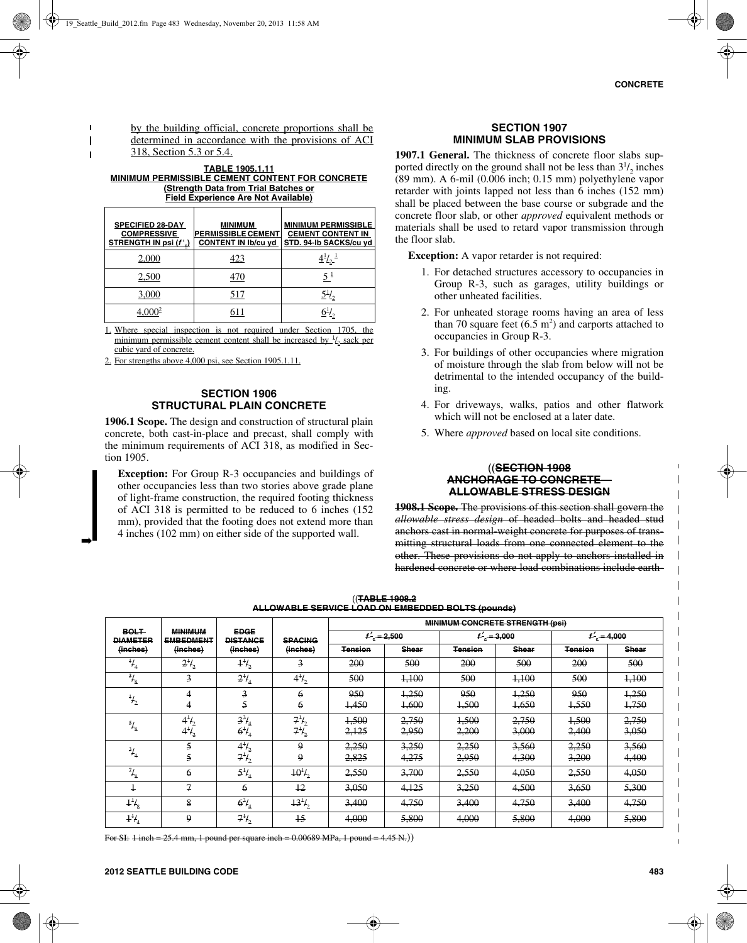by the building official, concrete proportions shall be determined in accordance with the provisions of ACI 318, Section 5.3 or 5.4.

**TABLE 1905.1.11 MINIMUM PERMISSIBLE CEMENT CONTENT FOR CONCRETE (Strength Data from Trial Batches or Field Experience Are Not Available)**

| <b>SPECIFIED 28-DAY</b><br><b>COMPRESSIVE</b><br>STRENGTH IN psi (f'.) | <b>MINIMUM</b><br><b>PERMISSIBLE CEMENT</b><br><b>CONTENT IN Ib/cu yd</b> | <b>MINIMUM PERMISSIBLE</b><br><b>CEMENT CONTENT IN</b><br>STD. 94-Ib SACKS/cu yd |
|------------------------------------------------------------------------|---------------------------------------------------------------------------|----------------------------------------------------------------------------------|
| 2.000                                                                  | 423                                                                       | $4^{1/2}$                                                                        |
| 2,500                                                                  | 470                                                                       | $5^{\frac{1}{2}}$                                                                |
| 3.000                                                                  | 517                                                                       |                                                                                  |
| 4.000 <sup>2</sup>                                                     | 611                                                                       |                                                                                  |

1. Where special inspection is not required under Section 1705, the minimum permissible cement content shall be increased by  $\frac{1}{2}$  sack per cubic yard of concrete.

2. For strengths above 4,000 psi, see Section 1905.1.11.

#### **SECTION 1906 STRUCTURAL PLAIN CONCRETE**

**1906.1 Scope.** The design and construction of structural plain concrete, both cast-in-place and precast, shall comply with the minimum requirements of ACI 318, as modified in Section 1905.

**Exception:** For Group R-3 occupancies and buildings of other occupancies less than two stories above grade plane of light-frame construction, the required footing thickness of ACI 318 is permitted to be reduced to 6 inches (152 mm), provided that the footing does not extend more than 4 inches (102 mm) on either side of the supported wall.

#### **SECTION 1907 MINIMUM SLAB PROVISIONS**

**1907.1 General.** The thickness of concrete floor slabs supported directly on the ground shall not be less than  $3^{1}/_{2}$  inches (89 mm). A 6-mil (0.006 inch; 0.15 mm) polyethylene vapor retarder with joints lapped not less than 6 inches (152 mm) shall be placed between the base course or subgrade and the concrete floor slab, or other *approved* equivalent methods or materials shall be used to retard vapor transmission through the floor slab.

**Exception:** A vapor retarder is not required:

- 1. For detached structures accessory to occupancies in Group R-3, such as garages, utility buildings or other unheated facilities.
- 2. For unheated storage rooms having an area of less than 70 square feet  $(6.5 \text{ m}^2)$  and carports attached to occupancies in Group R-3.
- 3. For buildings of other occupancies where migration of moisture through the slab from below will not be detrimental to the intended occupancy of the building.
- 4. For driveways, walks, patios and other flatwork which will not be enclosed at a later date.
- 5. Where *approved* based on local site conditions.

#### ((**SECTION 1908 ANCHORAGE TO CONCRETE— ALLOWABLE STRESS DESIGN**

**1908.1 Scope.** The provisions of this section shall govern the *allowable stress design* of headed bolts and headed stud anchors cast in normal-weight concrete for purposes of transmitting structural loads from one connected element to the other. These provisions do not apply to anchors installed in hardened concrete or where load combinations include earth-

|                                            | <b>MINIMUM</b><br><b>EMBEDMENT</b><br>(inches) | <b>EDGE</b><br><b>DISTANCE</b><br>(inches) | <b>SPACING</b><br>(inches) | <b>MINIMUM CONCRETE STRENGTH (psi)</b> |                |                |                |                |                |
|--------------------------------------------|------------------------------------------------|--------------------------------------------|----------------------------|----------------------------------------|----------------|----------------|----------------|----------------|----------------|
| <b>BOLT</b><br><b>DIAMETER</b><br>(inches) |                                                |                                            |                            | $f'_e = 2,500$                         |                | $f'_e = 3,000$ |                | $t' = 4,000$   |                |
|                                            |                                                |                                            |                            | <b>Tension</b>                         | <b>Shear</b>   | <b>Tension</b> | <b>Shear</b>   | <b>Tension</b> | <b>Shear</b>   |
| $^{1}/_{4}$                                | $2^{1}/_{2}$                                   | $1^{1/2}$                                  | 3                          | 200                                    | 500            | 200            | 500            | 200            | 500            |
| $^{3}/_{8}$                                | $\overline{3}$                                 | $2^{1}/_{4}$                               | $4^{1/2}$                  | 500                                    | 4,100          | 500            | 4.100          | 500            | 1,100          |
| $^{1}/_{2}$                                | 4<br>4                                         | 3<br>5                                     | 6<br>6                     | 950<br>1,450                           | 1,250<br>4,600 | 950<br>1,500   | 1,250<br>1,650 | 950<br>1,550   | 1,250<br>1,750 |
| $\frac{5}{8}$                              | $4^{1}/_{2}$<br>$4^{1/2}$                      | $3^{3}/_{4}$<br>$6^{1}/_{4}$               | $7^{1}/_{2}$<br>$7^{11}$   | 1,500<br>2,125                         | 2,750<br>2,950 | 1,500<br>2,200 | 2,750<br>3,000 | 1,500<br>2,400 | 2,750<br>3,050 |
| $^{3}/_{4}$                                | 5<br>5                                         | $4^{1/2}$<br>$7^{11}$ <sub>2</sub>         | 9<br>9                     | 2,250<br>2,825                         | 3,250<br>4,275 | 2,250<br>2,950 | 3,560<br>4.300 | 2,250<br>3,200 | 3,560<br>4,400 |
| $\overline{H}_{8}$                         | 6                                              | $5^{1}/_{4}$                               | $10^{1}/_{2}$              | 2,550                                  | 3,700          | 2,550          | 4,050          | 2,550          | 4,050          |
| $\overline{1}$                             | $\mathcal{I}$                                  | 6                                          | 12                         | 3.050                                  | 4,125          | 3.250          | 4.500          | 3,650          | 5,300          |
| $1^{1}/_{8}$                               | 8                                              | $6^{3}/_{4}$                               | $13^{1}/$                  | 3,400                                  | 4,750          | 3.400          | 4,750          | 3,400          | 4,750          |
| $1^{1}/_{4}$                               | 9                                              | $7^{1}/_{2}$                               | $\overline{15}$            | 4,000                                  | 5,800          | 4,000          | 5,800          | 4,000          | 5,800          |

((**TABLE 1908.2 ALLOWABLE SERVICE LOAD ON EMBEDDED BOLTS (pounds)**

For SI: 1 inch = 25.4 mm, 1 pound per square inch = 0.00689 MPa, 1 pound = 4.45 N.)

➡

 $\overline{\phantom{a}}$  $\overline{1}$  $\blacksquare$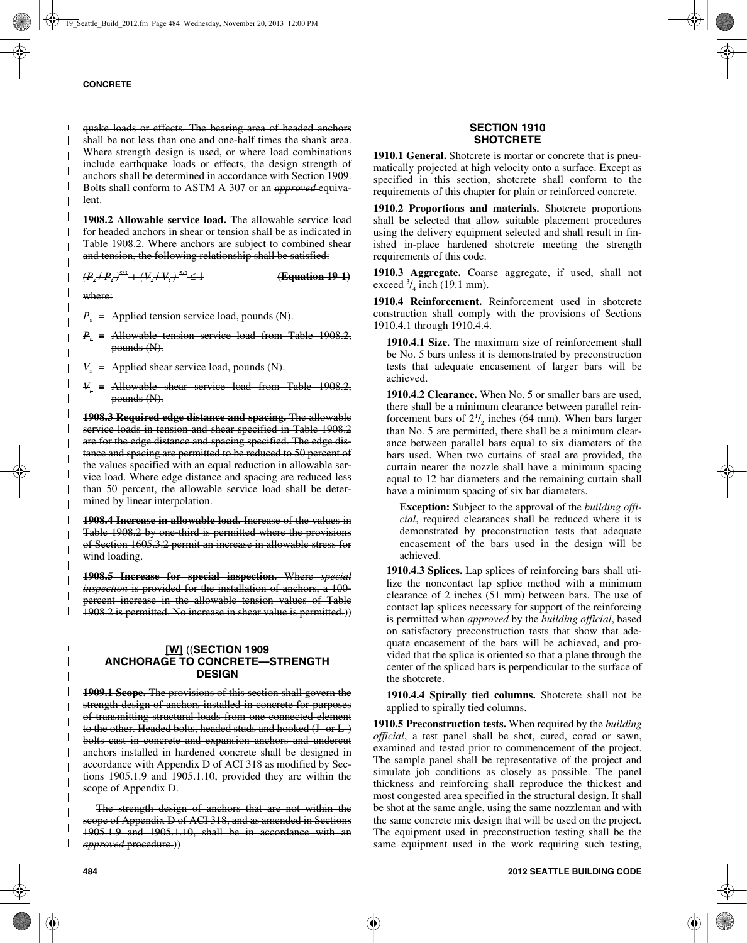#### **CONCRETE**

quake loads or effects. The bearing area of headed anchors shall be not less than one and one-half times the shank area. Where strength design is used, or where load combinations include earthquake loads or effects, the design strength of anchors shall be determined in accordance with Section 1909. Bolts shall conform to ASTM A 307 or an *approved* equivalent.

**1908.2 Allowable service load.** The allowable service load for headed anchors in shear or tension shall be as indicated in Table 1908.2. Where anchors are subject to combined shear and tension, the following relationship shall be satisfied:

 $(P_s + P_t)^{5/3} + (V_s + V_t)$  *)* 5/3 ≤ 1 **(Equation 19-1)**

where:

 $P_{s}$  = Applied tension service load, pounds (N).

*P<sub>t</sub>* = Allowable tension service load from Table 1908.2, pounds (N).

 $V =$  Applied shear service load, pounds  $(N)$ .

 $V<sub>t</sub>$  = Allowable shear service load from Table 1908.2, pounds (N).

**1908.3 Required edge distance and spacing.** The allowable service loads in tension and shear specified in Table 1908.2 are for the edge distance and spacing specified. The edge distance and spacing are permitted to be reduced to 50 percent of the values specified with an equal reduction in allowable service load. Where edge distance and spacing are reduced less than 50 percent, the allowable service load shall be determined by linear interpolation.

**1908.4 Increase in allowable load.** Increase of the values in Table 1908.2 by one-third is permitted where the provisions of Section 1605.3.2 permit an increase in allowable stress for wind loading.

**1908.5 Increase for special inspection.** Where *special inspection* is provided for the installation of anchors, a 100 percent increase in the allowable tension values of Table 1908.2 is permitted. No increase in shear value is permitted.))

## **[W]** ((**SECTION 1909 ANCHORAGE TO CONCRETE—STRENGTH DESIGN**

**1909.1 Scope.** The provisions of this section shall govern the strength design of anchors installed in concrete for purposes of transmitting structural loads from one connected element to the other. Headed bolts, headed studs and hooked (J or L) bolts cast in concrete and expansion anchors and undercut anchors installed in hardened concrete shall be designed in accordance with Appendix D of ACI 318 as modified by Sections 1905.1.9 and 1905.1.10, provided they are within the scope of Appendix D.

The strength design of anchors that are not within the scope of Appendix D of ACI 318, and as amended in Sections 1905.1.9 and 1905.1.10, shall be in accordance with an *approved* procedure.))

#### **SECTION 1910 SHOTCRETE**

**1910.1 General.** Shotcrete is mortar or concrete that is pneumatically projected at high velocity onto a surface. Except as specified in this section, shotcrete shall conform to the requirements of this chapter for plain or reinforced concrete.

**1910.2 Proportions and materials.** Shotcrete proportions shall be selected that allow suitable placement procedures using the delivery equipment selected and shall result in finished in-place hardened shotcrete meeting the strength requirements of this code.

**1910.3 Aggregate.** Coarse aggregate, if used, shall not exceed  $\frac{3}{4}$  inch (19.1 mm).

**1910.4 Reinforcement.** Reinforcement used in shotcrete construction shall comply with the provisions of Sections 1910.4.1 through 1910.4.4.

**1910.4.1 Size.** The maximum size of reinforcement shall be No. 5 bars unless it is demonstrated by preconstruction tests that adequate encasement of larger bars will be achieved.

**1910.4.2 Clearance.** When No. 5 or smaller bars are used, there shall be a minimum clearance between parallel reinforcement bars of  $2^{1}/_{2}$  inches (64 mm). When bars larger than No. 5 are permitted, there shall be a minimum clearance between parallel bars equal to six diameters of the bars used. When two curtains of steel are provided, the curtain nearer the nozzle shall have a minimum spacing equal to 12 bar diameters and the remaining curtain shall have a minimum spacing of six bar diameters.

**Exception:** Subject to the approval of the *building official*, required clearances shall be reduced where it is demonstrated by preconstruction tests that adequate encasement of the bars used in the design will be achieved.

**1910.4.3 Splices.** Lap splices of reinforcing bars shall utilize the noncontact lap splice method with a minimum clearance of 2 inches (51 mm) between bars. The use of contact lap splices necessary for support of the reinforcing is permitted when *approved* by the *building official*, based on satisfactory preconstruction tests that show that adequate encasement of the bars will be achieved, and provided that the splice is oriented so that a plane through the center of the spliced bars is perpendicular to the surface of the shotcrete.

**1910.4.4 Spirally tied columns.** Shotcrete shall not be applied to spirally tied columns.

**1910.5 Preconstruction tests.** When required by the *building official*, a test panel shall be shot, cured, cored or sawn, examined and tested prior to commencement of the project. The sample panel shall be representative of the project and simulate job conditions as closely as possible. The panel thickness and reinforcing shall reproduce the thickest and most congested area specified in the structural design. It shall be shot at the same angle, using the same nozzleman and with the same concrete mix design that will be used on the project. The equipment used in preconstruction testing shall be the same equipment used in the work requiring such testing,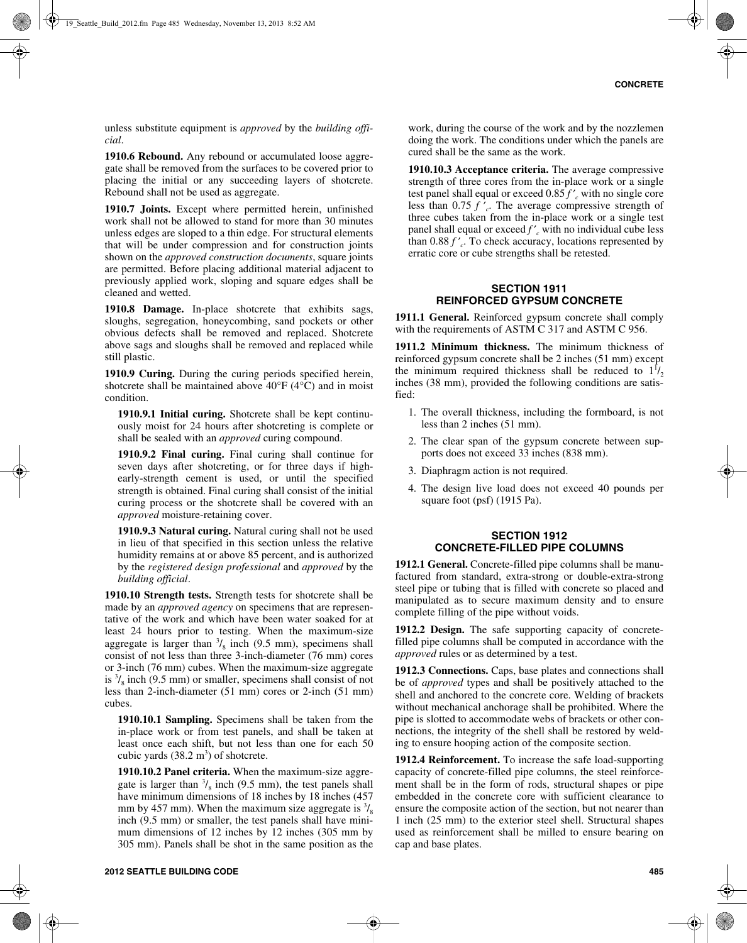unless substitute equipment is *approved* by the *building official*.

**1910.6 Rebound.** Any rebound or accumulated loose aggregate shall be removed from the surfaces to be covered prior to placing the initial or any succeeding layers of shotcrete. Rebound shall not be used as aggregate.

**1910.7 Joints.** Except where permitted herein, unfinished work shall not be allowed to stand for more than 30 minutes unless edges are sloped to a thin edge. For structural elements that will be under compression and for construction joints shown on the *approved construction documents*, square joints are permitted. Before placing additional material adjacent to previously applied work, sloping and square edges shall be cleaned and wetted.

**1910.8 Damage.** In-place shotcrete that exhibits sags, sloughs, segregation, honeycombing, sand pockets or other obvious defects shall be removed and replaced. Shotcrete above sags and sloughs shall be removed and replaced while still plastic.

**1910.9 Curing.** During the curing periods specified herein, shotcrete shall be maintained above  $40^{\circ}$ F ( $4^{\circ}$ C) and in moist condition.

**1910.9.1 Initial curing.** Shotcrete shall be kept continuously moist for 24 hours after shotcreting is complete or shall be sealed with an *approved* curing compound.

**1910.9.2 Final curing.** Final curing shall continue for seven days after shotcreting, or for three days if highearly-strength cement is used, or until the specified strength is obtained. Final curing shall consist of the initial curing process or the shotcrete shall be covered with an *approved* moisture-retaining cover.

**1910.9.3 Natural curing.** Natural curing shall not be used in lieu of that specified in this section unless the relative humidity remains at or above 85 percent, and is authorized by the *registered design professional* and *approved* by the *building official*.

**1910.10 Strength tests.** Strength tests for shotcrete shall be made by an *approved agency* on specimens that are representative of the work and which have been water soaked for at least 24 hours prior to testing. When the maximum-size aggregate is larger than  $\frac{3}{8}$  inch (9.5 mm), specimens shall consist of not less than three 3-inch-diameter (76 mm) cores or 3-inch (76 mm) cubes. When the maximum-size aggregate is  $\frac{3}{8}$  inch (9.5 mm) or smaller, specimens shall consist of not less than 2-inch-diameter (51 mm) cores or 2-inch (51 mm) cubes.

**1910.10.1 Sampling.** Specimens shall be taken from the in-place work or from test panels, and shall be taken at least once each shift, but not less than one for each 50 cubic yards  $(38.2 \text{ m}^3)$  of shotcrete.

**1910.10.2 Panel criteria.** When the maximum-size aggregate is larger than  $\frac{3}{8}$  inch (9.5 mm), the test panels shall have minimum dimensions of 18 inches by 18 inches (457) mm by 457 mm). When the maximum size aggregate is  $\frac{3}{8}$ inch (9.5 mm) or smaller, the test panels shall have minimum dimensions of 12 inches by 12 inches (305 mm by 305 mm). Panels shall be shot in the same position as the

**1910.10.3 Acceptance criteria.** The average compressive strength of three cores from the in-place work or a single test panel shall equal or exceed 0.85 *f* ′ *<sup>c</sup>* with no single core less than 0.75 *f* ′ *<sup>c</sup>*. The average compressive strength of three cubes taken from the in-place work or a single test panel shall equal or exceed *f* ′ *<sup>c</sup>* with no individual cube less than 0.88 *f* ′ *<sup>c</sup>*. To check accuracy, locations represented by erratic core or cube strengths shall be retested.

#### **SECTION 1911 REINFORCED GYPSUM CONCRETE**

**1911.1 General.** Reinforced gypsum concrete shall comply with the requirements of ASTM C 317 and ASTM C 956.

**1911.2 Minimum thickness.** The minimum thickness of reinforced gypsum concrete shall be 2 inches (51 mm) except the minimum required thickness shall be reduced to  $1^{1/2}$ inches (38 mm), provided the following conditions are satisfied:

- 1. The overall thickness, including the formboard, is not less than 2 inches (51 mm).
- 2. The clear span of the gypsum concrete between supports does not exceed 33 inches (838 mm).
- 3. Diaphragm action is not required.
- 4. The design live load does not exceed 40 pounds per square foot (psf) (1915 Pa).

## **SECTION 1912 CONCRETE-FILLED PIPE COLUMNS**

**1912.1 General.** Concrete-filled pipe columns shall be manufactured from standard, extra-strong or double-extra-strong steel pipe or tubing that is filled with concrete so placed and manipulated as to secure maximum density and to ensure complete filling of the pipe without voids.

**1912.2 Design.** The safe supporting capacity of concretefilled pipe columns shall be computed in accordance with the *approved* rules or as determined by a test.

**1912.3 Connections.** Caps, base plates and connections shall be of *approved* types and shall be positively attached to the shell and anchored to the concrete core. Welding of brackets without mechanical anchorage shall be prohibited. Where the pipe is slotted to accommodate webs of brackets or other connections, the integrity of the shell shall be restored by welding to ensure hooping action of the composite section.

**1912.4 Reinforcement.** To increase the safe load-supporting capacity of concrete-filled pipe columns, the steel reinforcement shall be in the form of rods, structural shapes or pipe embedded in the concrete core with sufficient clearance to ensure the composite action of the section, but not nearer than 1 inch (25 mm) to the exterior steel shell. Structural shapes used as reinforcement shall be milled to ensure bearing on cap and base plates.